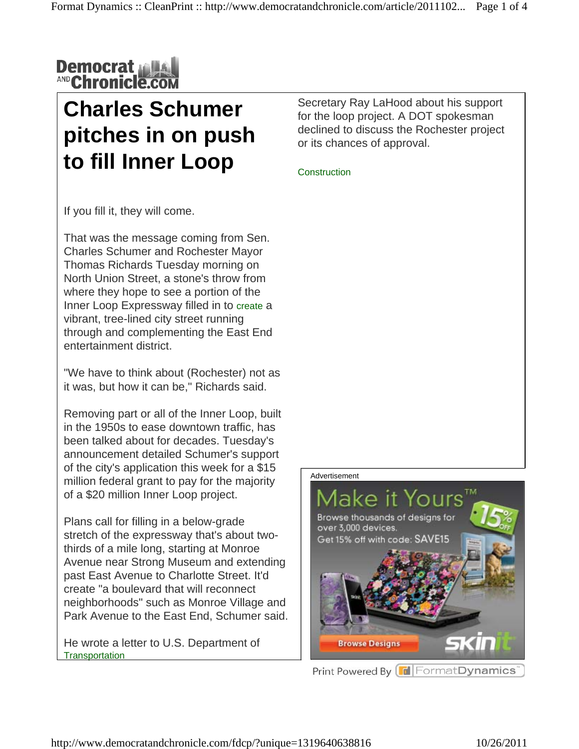

### **Charles Schumer pitches in on push to fill Inner Loop**

Secretary Ray LaHood about his support for the loop project. A DOT spokesman declined to discuss the Rochester project or its chances of approval.

**Construction** 

If you fill it, they will come.

That was the message coming from Sen. Charles Schumer and Rochester Mayor Thomas Richards Tuesday morning on North Union Street, a stone's throw from where they hope to see a portion of the Inner Loop Expressway filled in to create a vibrant, tree-lined city street running through and complementing the East End entertainment district.

"We have to think about (Rochester) not as it was, but how it can be," Richards said.

Removing part or all of the Inner Loop, built in the 1950s to ease downtown traffic, has been talked about for decades. Tuesday's announcement detailed Schumer's support of the city's application this week for a \$15 million federal grant to pay for the majority of a \$20 million Inner Loop project.

Plans call for filling in a below-grade stretch of the expressway that's about twothirds of a mile long, starting at Monroe Avenue near Strong Museum and extending past East Avenue to Charlotte Street. It'd create "a boulevard that will reconnect neighborhoods" such as Monroe Village and Park Avenue to the East End, Schumer said.

He wrote a letter to U.S. Department of **Transportation** 



Print Powered By FormatDynamics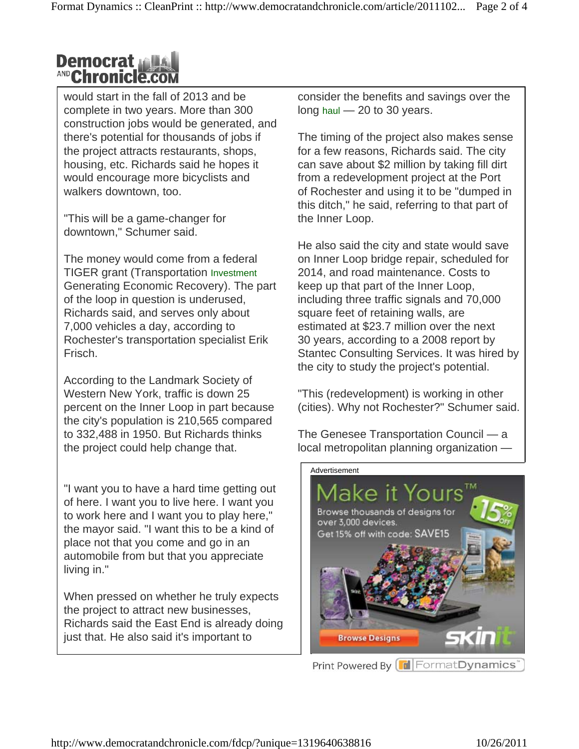### **Democrat AND Chronicle.com**

would start in the fall of 2013 and be complete in two years. More than 300 construction jobs would be generated, and there's potential for thousands of jobs if the project attracts restaurants, shops, housing, etc. Richards said he hopes it would encourage more bicyclists and walkers downtown, too.

"This will be a game-changer for downtown," Schumer said.

The money would come from a federal TIGER grant (Transportation Investment Generating Economic Recovery). The part of the loop in question is underused, Richards said, and serves only about 7,000 vehicles a day, according to Rochester's transportation specialist Erik Frisch.

According to the Landmark Society of Western New York, traffic is down 25 percent on the Inner Loop in part because the city's population is 210,565 compared to 332,488 in 1950. But Richards thinks the project could help change that.

"I want you to have a hard time getting out of here. I want you to live here. I want you to work here and I want you to play here," the mayor said. "I want this to be a kind of place not that you come and go in an automobile from but that you appreciate living in."

When pressed on whether he truly expects the project to attract new businesses, Richards said the East End is already doing just that. He also said it's important to

consider the benefits and savings over the long haul  $-20$  to 30 years.

The timing of the project also makes sense for a few reasons, Richards said. The city can save about \$2 million by taking fill dirt from a redevelopment project at the Port of Rochester and using it to be "dumped in this ditch," he said, referring to that part of the Inner Loop.

He also said the city and state would save on Inner Loop bridge repair, scheduled for 2014, and road maintenance. Costs to keep up that part of the Inner Loop, including three traffic signals and 70,000 square feet of retaining walls, are estimated at \$23.7 million over the next 30 years, according to a 2008 report by Stantec Consulting Services. It was hired by the city to study the project's potential.

"This (redevelopment) is working in other (cities). Why not Rochester?" Schumer said.

The Genesee Transportation Council — a local metropolitan planning organization —

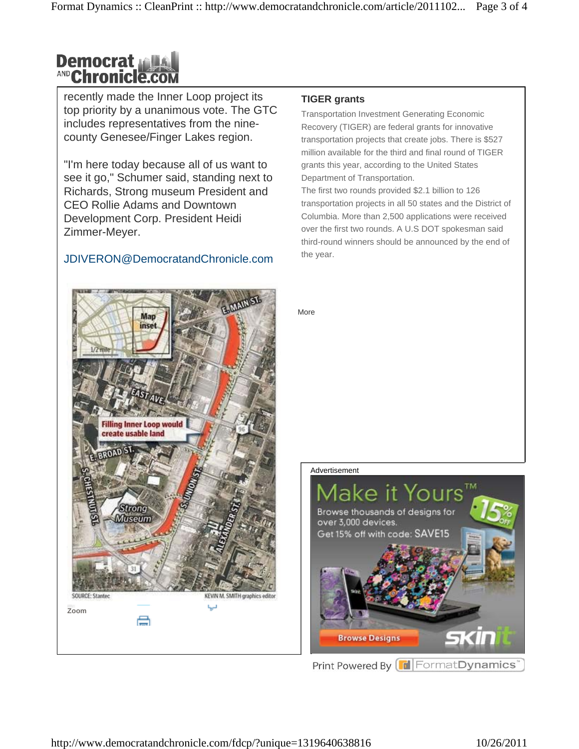# **Democrat<br>AND Chronicle.com**

recently made the Inner Loop project its top priority by a unanimous vote. The GTC includes representatives from the ninecounty Genesee/Finger Lakes region.

"I'm here today because all of us want to see it go," Schumer said, standing next to Richards, Strong museum President and CEO Rollie Adams and Downtown Development Corp. President Heidi Zimmer-Meyer.

#### JDIVERON@DemocratandChronicle.com

#### **TIGER grants**

Transportation Investment Generating Economic Recovery (TIGER) are federal grants for innovative transportation projects that create jobs. There is \$527 million available for the third and final round of TIGER grants this year, according to the United States Department of Transportation.

The first two rounds provided \$2.1 billion to 126 transportation projects in all 50 states and the District of Columbia. More than 2,500 applications were received over the first two rounds. A U.S DOT spokesman said third-round winners should be announced by the end of the year.

More

## Map inset **Filling Inner Loop would** create usable land Strong Museum KEVIN M. SMITH graphics editor SOURCE: Stantee L.J **Zoom** e